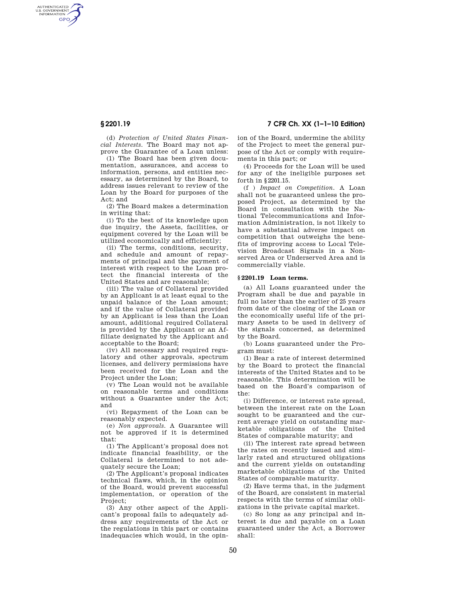AUTHENTICATED<br>U.S. GOVERNMENT<br>INFORMATION **GPO** 

**§ 2201.19 7 CFR Ch. XX (1–1–10 Edition)** 

(d) *Protection of United States Financial Interests.* The Board may not approve the Guarantee of a Loan unless:

(1) The Board has been given documentation, assurances, and access to information, persons, and entities necessary, as determined by the Board, to address issues relevant to review of the Loan by the Board for purposes of the  $Act$ ; and

(2) The Board makes a determination in writing that:

(i) To the best of its knowledge upon due inquiry, the Assets, facilities, or equipment covered by the Loan will be utilized economically and efficiently;

(ii) The terms, conditions, security, and schedule and amount of repayments of principal and the payment of interest with respect to the Loan protect the financial interests of the United States and are reasonable;

(iii) The value of Collateral provided by an Applicant is at least equal to the unpaid balance of the Loan amount; and if the value of Collateral provided by an Applicant is less than the Loan amount, additional required Collateral is provided by the Applicant or an Affiliate designated by the Applicant and acceptable to the Board;

 $(iv)$  All necessary and required regulatory and other approvals, spectrum licenses, and delivery permissions have been received for the Loan and the Project under the Loan;

(v) The Loan would not be available on reasonable terms and conditions without a Guarantee under the Act; and

(vi) Repayment of the Loan can be reasonably expected.

(e) *Non approvals.* A Guarantee will not be approved if it is determined that:

(1) The Applicant's proposal does not indicate financial feasibility, or the Collateral is determined to not adequately secure the Loan;

(2) The Applicant's proposal indicates technical flaws, which, in the opinion of the Board, would prevent successful implementation, or operation of the Project:

(3) Any other aspect of the Applicant's proposal fails to adequately address any requirements of the Act or the regulations in this part or contains inadequacies which would, in the opinion of the Board, undermine the ability of the Project to meet the general purpose of the Act or comply with requirements in this part; or

(4) Proceeds for the Loan will be used for any of the ineligible purposes set forth in §2201.15.

(f ) *Impact on Competition.* A Loan shall not be guaranteed unless the proposed Project, as determined by the Board in consultation with the National Telecommunications and Information Administration, is not likely to have a substantial adverse impact on competition that outweighs the benefits of improving access to Local Television Broadcast Signals in a Nonserved Area or Underserved Area and is commercially viable.

## **§ 2201.19 Loan terms.**

(a) All Loans guaranteed under the Program shall be due and payable in full no later than the earlier of 25 years from date of the closing of the Loan or the economically useful life of the primary Assets to be used in delivery of the signals concerned, as determined by the Board.

(b) Loans guaranteed under the Program must:

(1) Bear a rate of interest determined by the Board to protect the financial interests of the United States and to be reasonable. This determination will be based on the Board's comparison of the:

(i) Difference, or interest rate spread, between the interest rate on the Loan sought to be guaranteed and the current average yield on outstanding marketable obligations of the United States of comparable maturity; and

(ii) The interest rate spread between the rates on recently issued and similarly rated and structured obligations and the current yields on outstanding marketable obligations of the United States of comparable maturity.

(2) Have terms that, in the judgment of the Board, are consistent in material respects with the terms of similar obligations in the private capital market.

(c) So long as any principal and interest is due and payable on a Loan guaranteed under the Act, a Borrower shall: